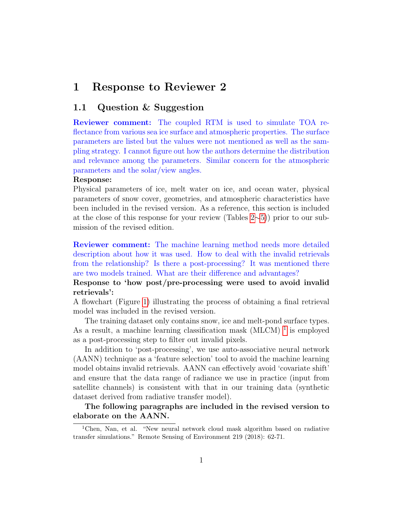# 1 Response to Reviewer 2

# 1.1 Question & Suggestion

Reviewer comment: The coupled RTM is used to simulate TOA reflectance from various sea ice surface and atmospheric properties. The surface parameters are listed but the values were not mentioned as well as the sampling strategy. I cannot figure out how the authors determine the distribution and relevance among the parameters. Similar concern for the atmospheric parameters and the solar/view angles.

#### Response:

Physical parameters of ice, melt water on ice, and ocean water, physical parameters of snow cover, geometries, and atmospheric characteristics have been included in the revised version. As a reference, this section is included at the close of this response for your review (Tables [2](#page-9-0)∼[5\)](#page-10-0)) prior to our submission of the revised edition.

Reviewer comment: The machine learning method needs more detailed description about how it was used. How to deal with the invalid retrievals from the relationship? Is there a post-processing? It was mentioned there are two models trained. What are their difference and advantages?

Response to 'how post/pre-processing were used to avoid invalid retrievals':

A flowchart (Figure [1\)](#page-1-0) illustrating the process of obtaining a final retrieval model was included in the revised version.

The training dataset only contains snow, ice and melt-pond surface types. As a result, a machine learning classification mask  $(MLCM)^{-1}$  $(MLCM)^{-1}$  $(MLCM)^{-1}$  is employed as a post-processing step to filter out invalid pixels.

In addition to 'post-processing', we use auto-associative neural network (AANN) technique as a 'feature selection' tool to avoid the machine learning model obtains invalid retrievals. AANN can effectively avoid 'covariate shift' and ensure that the data range of radiance we use in practice (input from satellite channels) is consistent with that in our training data (synthetic dataset derived from radiative transfer model).

The following paragraphs are included in the revised version to elaborate on the AANN.

<span id="page-0-0"></span><sup>1</sup>Chen, Nan, et al. "New neural network cloud mask algorithm based on radiative transfer simulations." Remote Sensing of Environment 219 (2018): 62-71.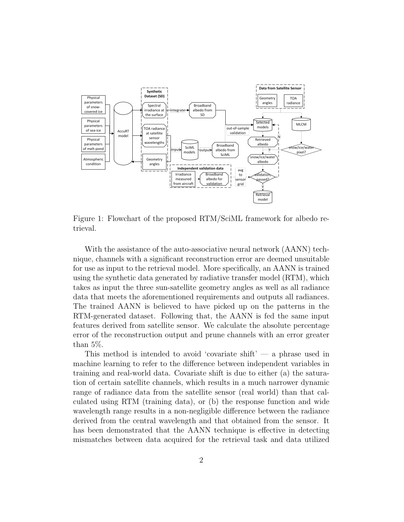

<span id="page-1-0"></span>Figure 1: Flowchart of the proposed RTM/SciML framework for albedo retrieval.

With the assistance of the auto-associative neural network (AANN) technique, channels with a significant reconstruction error are deemed unsuitable for use as input to the retrieval model. More specifically, an AANN is trained using the synthetic data generated by radiative transfer model (RTM), which takes as input the three sun-satellite geometry angles as well as all radiance data that meets the aforementioned requirements and outputs all radiances. The trained AANN is believed to have picked up on the patterns in the RTM-generated dataset. Following that, the AANN is fed the same input features derived from satellite sensor. We calculate the absolute percentage error of the reconstruction output and prune channels with an error greater than 5%.

This method is intended to avoid 'covariate shift'  $-$  a phrase used in machine learning to refer to the difference between independent variables in training and real-world data. Covariate shift is due to either (a) the saturation of certain satellite channels, which results in a much narrower dynamic range of radiance data from the satellite sensor (real world) than that calculated using RTM (training data), or (b) the response function and wide wavelength range results in a non-negligible difference between the radiance derived from the central wavelength and that obtained from the sensor. It has been demonstrated that the AANN technique is effective in detecting mismatches between data acquired for the retrieval task and data utilized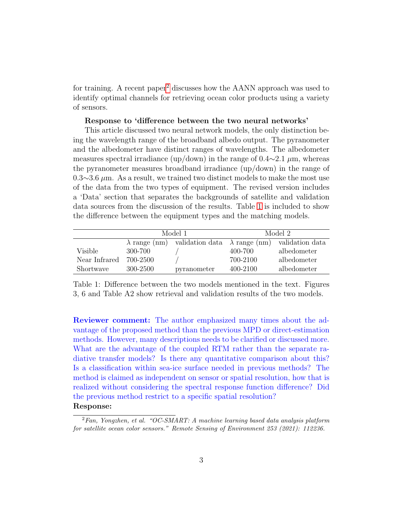for training. A recent paper<sup>[2](#page-2-0)</sup> discusses how the AANN approach was used to identify optimal channels for retrieving ocean color products using a variety of sensors.

#### Response to 'difference between the two neural networks'

This article discussed two neural network models, the only distinction being the wavelength range of the broadband albedo output. The pyranometer and the albedometer have distinct ranges of wavelengths. The albedometer measures spectral irradiance (up/down) in the range of  $0.4 \sim 2.1 \mu m$ , whereas the pyranometer measures broadband irradiance (up/down) in the range of  $0.3 \sim 3.6 \mu$ m. As a result, we trained two distinct models to make the most use of the data from the two types of equipment. The revised version includes a 'Data' section that separates the backgrounds of satellite and validation data sources from the discussion of the results. Table [1](#page-2-1) is included to show the difference between the equipment types and the matching models.

|               | Model 1  |                                                                           | Model 2  |             |
|---------------|----------|---------------------------------------------------------------------------|----------|-------------|
|               |          | $\lambda$ range (nm) validation data $\lambda$ range (nm) validation data |          |             |
| Visible       | 300-700  |                                                                           | 400-700  | albedometer |
| Near Infrared | 700-2500 |                                                                           | 700-2100 | albedometer |
| Shortwave     | 300-2500 | pyranometer                                                               | 400-2100 | albedometer |

<span id="page-2-1"></span>Table 1: Difference between the two models mentioned in the text. Figures 3, 6 and Table A2 show retrieval and validation results of the two models.

Reviewer comment: The author emphasized many times about the advantage of the proposed method than the previous MPD or direct-estimation methods. However, many descriptions needs to be clarified or discussed more. What are the advantage of the coupled RTM rather than the separate radiative transfer models? Is there any quantitative comparison about this? Is a classification within sea-ice surface needed in previous methods? The method is claimed as independent on sensor or spatial resolution, how that is realized without considering the spectral response function difference? Did the previous method restrict to a specific spatial resolution?

## Response:

<span id="page-2-0"></span> $2Fan$ , Yongzhen, et al. "OC-SMART: A machine learning based data analysis platform for satellite ocean color sensors." Remote Sensing of Environment 253 (2021): 112236.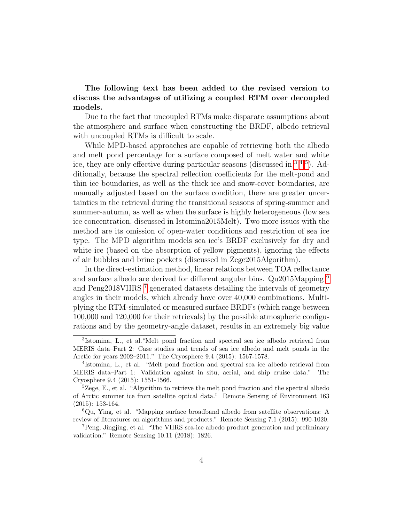The following text has been added to the revised version to discuss the advantages of utilizing a coupled RTM over decoupled models.

Due to the fact that uncoupled RTMs make disparate assumptions about the atmosphere and surface when constructing the BRDF, albedo retrieval with uncoupled RTMs is difficult to scale.

While MPD-based approaches are capable of retrieving both the albedo and melt pond percentage for a surface composed of melt water and white ice, they are only effective during particular seasons (discussed in [3](#page-3-0) [4](#page-3-1) [5](#page-3-2)). Additionally, because the spectral reflection coefficients for the melt-pond and thin ice boundaries, as well as the thick ice and snow-cover boundaries, are manually adjusted based on the surface condition, there are greater uncertainties in the retrieval during the transitional seasons of spring-summer and summer-autumn, as well as when the surface is highly heterogeneous (low sea ice concentration, discussed in Istomina2015Melt). Two more issues with the method are its omission of open-water conditions and restriction of sea ice type. The MPD algorithm models sea ice's BRDF exclusively for dry and white ice (based on the absorption of yellow pigments), ignoring the effects of air bubbles and brine pockets (discussed in Zege2015Algorithm).

In the direct-estimation method, linear relations between TOA reflectance and surface albedo are derived for different angular bins. Qu2015Mapping [6](#page-3-3) and Peng2018VIIRS [7](#page-3-4) generated datasets detailing the intervals of geometry angles in their models, which already have over 40,000 combinations. Multiplying the RTM-simulated or measured surface BRDFs (which range between 100,000 and 120,000 for their retrievals) by the possible atmospheric configurations and by the geometry-angle dataset, results in an extremely big value

<span id="page-3-0"></span><sup>3</sup> Istomina, L., et al."Melt pond fraction and spectral sea ice albedo retrieval from MERIS data–Part 2: Case studies and trends of sea ice albedo and melt ponds in the Arctic for years 2002–2011." The Cryosphere 9.4 (2015): 1567-1578.

<span id="page-3-1"></span><sup>4</sup> Istomina, L., et al. "Melt pond fraction and spectral sea ice albedo retrieval from MERIS data–Part 1: Validation against in situ, aerial, and ship cruise data." The Cryosphere 9.4 (2015): 1551-1566.

<span id="page-3-2"></span> ${}^{5}Z$ ege, E., et al. "Algorithm to retrieve the melt pond fraction and the spectral albedo of Arctic summer ice from satellite optical data." Remote Sensing of Environment 163 (2015): 153-164.

<span id="page-3-3"></span> ${}^{6}$ Qu, Ying, et al. "Mapping surface broadband albedo from satellite observations: A review of literatures on algorithms and products." Remote Sensing 7.1 (2015): 990-1020.

<span id="page-3-4"></span><sup>7</sup>Peng, Jingjing, et al. "The VIIRS sea-ice albedo product generation and preliminary validation." Remote Sensing 10.11 (2018): 1826.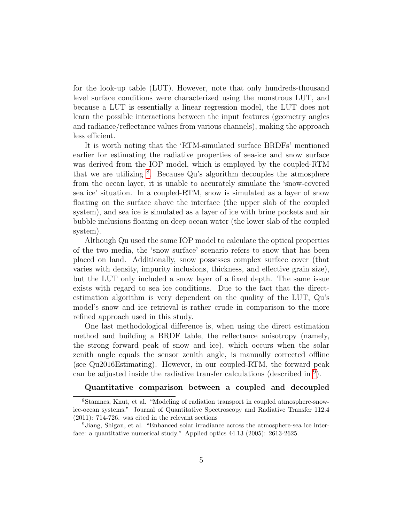for the look-up table (LUT). However, note that only hundreds-thousand level surface conditions were characterized using the monstrous LUT, and because a LUT is essentially a linear regression model, the LUT does not learn the possible interactions between the input features (geometry angles and radiance/reflectance values from various channels), making the approach less efficient.

It is worth noting that the 'RTM-simulated surface BRDFs' mentioned earlier for estimating the radiative properties of sea-ice and snow surface was derived from the IOP model, which is employed by the coupled-RTM that we are utilizing <sup>[8](#page-4-0)</sup>. Because Qu's algorithm decouples the atmosphere from the ocean layer, it is unable to accurately simulate the 'snow-covered sea ice' situation. In a coupled-RTM, snow is simulated as a layer of snow floating on the surface above the interface (the upper slab of the coupled system), and sea ice is simulated as a layer of ice with brine pockets and air bubble inclusions floating on deep ocean water (the lower slab of the coupled system).

Although Qu used the same IOP model to calculate the optical properties of the two media, the 'snow surface' scenario refers to snow that has been placed on land. Additionally, snow possesses complex surface cover (that varies with density, impurity inclusions, thickness, and effective grain size), but the LUT only included a snow layer of a fixed depth. The same issue exists with regard to sea ice conditions. Due to the fact that the directestimation algorithm is very dependent on the quality of the LUT, Qu's model's snow and ice retrieval is rather crude in comparison to the more refined approach used in this study.

One last methodological difference is, when using the direct estimation method and building a BRDF table, the reflectance anisotropy (namely, the strong forward peak of snow and ice), which occurs when the solar zenith angle equals the sensor zenith angle, is manually corrected offline (see Qu2016Estimating). However, in our coupled-RTM, the forward peak can be adjusted inside the radiative transfer calculations (described in [9](#page-4-1) ).

## <span id="page-4-0"></span>Quantitative comparison between a coupled and decoupled

<sup>8</sup>Stamnes, Knut, et al. "Modeling of radiation transport in coupled atmosphere-snowice-ocean systems." Journal of Quantitative Spectroscopy and Radiative Transfer 112.4 (2011): 714-726. was cited in the relevant sections

<span id="page-4-1"></span><sup>9</sup>Jiang, Shigan, et al. "Enhanced solar irradiance across the atmosphere-sea ice interface: a quantitative numerical study." Applied optics 44.13 (2005): 2613-2625.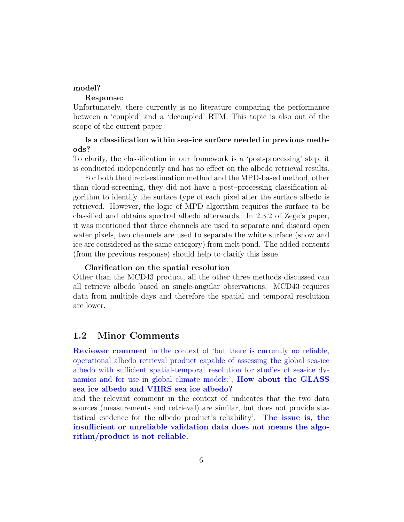## model?

## Response:

Unfortunately, there currently is no literature comparing the performance between a 'coupled' and a 'decoupled' RTM. This topic is also out of the scope of the current paper.

# Is a classification within sea-ice surface needed in previous methods?

To clarify, the classification in our framework is a 'post-processing' step; it is conducted independently and has no effect on the albedo retrieval results.

For both the direct-estimation method and the MPD-based method, other than cloud-screening, they did not have a post–processing classification algorithm to identify the surface type of each pixel after the surface albedo is retrieved. However, the logic of MPD algorithm requires the surface to be classified and obtains spectral albedo afterwards. In 2.3.2 of Zege's paper, it was mentioned that three channels are used to separate and discard open water pixels, two channels are used to separate the white surface (snow and ice are considered as the same category) from melt pond. The added contents (from the previous response) should help to clarify this issue.

#### Clarification on the spatial resolution

Other than the MCD43 product, all the other three methods discussed can all retrieve albedo based on single-angular observations. MCD43 requires data from multiple days and therefore the spatial and temporal resolution are lower.

# 1.2 Minor Comments

Reviewer comment in the context of 'but there is currently no reliable, operational albedo retrieval product capable of assessing the global sea-ice albedo with sufficient spatial-temporal resolution for studies of sea-ice dynamics and for use in global climate models:', How about the GLASS sea ice albedo and VIIRS sea ice albedo?

and the relevant comment in the context of 'indicates that the two data sources (measurements and retrieval) are similar, but does not provide statistical evidence for the albedo product's reliability'. The issue is, the insufficient or unreliable validation data does not means the algorithm/product is not reliable.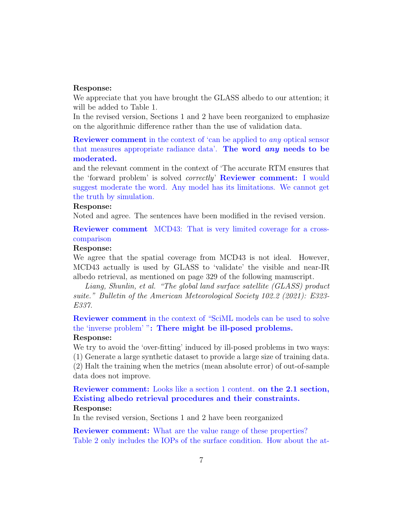#### Response:

We appreciate that you have brought the GLASS albedo to our attention; it will be added to Table 1.

In the revised version, Sections 1 and 2 have been reorganized to emphasize on the algorithmic difference rather than the use of validation data.

Reviewer comment in the context of 'can be applied to any optical sensor that measures appropriate radiance data'. The word any needs to be moderated.

and the relevant comment in the context of 'The accurate RTM ensures that the 'forward problem' is solved correctly' Reviewer comment: I would suggest moderate the word. Any model has its limitations. We cannot get the truth by simulation.

## Response:

Noted and agree. The sentences have been modified in the revised version.

Reviewer comment MCD43: That is very limited coverage for a crosscomparison

## Response:

We agree that the spatial coverage from MCD43 is not ideal. However, MCD43 actually is used by GLASS to 'validate' the visible and near-IR albedo retrieval, as mentioned on page 329 of the following manuscript.

Liang, Shunlin, et al. "The global land surface satellite (GLASS) product suite." Bulletin of the American Meteorological Society 102.2 (2021): E323- E337.

Reviewer comment in the context of "SciML models can be used to solve the 'inverse problem' ": There might be ill-posed problems.

## Response:

We try to avoid the 'over-fitting' induced by ill-posed problems in two ways: (1) Generate a large synthetic dataset to provide a large size of training data. (2) Halt the training when the metrics (mean absolute error) of out-of-sample data does not improve.

# Reviewer comment: Looks like a section 1 content. on the 2.1 section, Existing albedo retrieval procedures and their constraints. Response:

In the revised version, Sections 1 and 2 have been reorganized

**Reviewer comment:** What are the value range of these properties? Table 2 only includes the IOPs of the surface condition. How about the at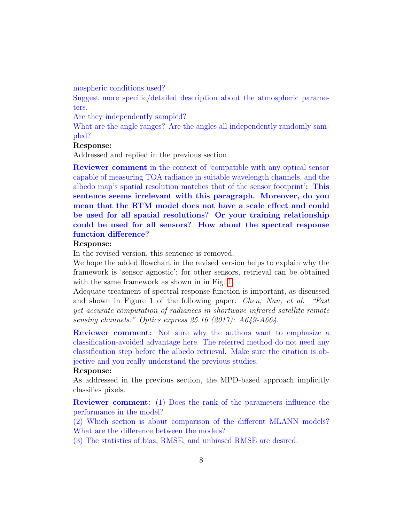mospheric conditions used?

Suggest more specific/detailed description about the atmospheric parameters.

Are they independently sampled?

What are the angle ranges? Are the angles all independently randomly sampled?

## Response:

Addressed and replied in the previous section.

Reviewer comment in the context of 'compatible with any optical sensor capable of measuring TOA radiance in suitable wavelength channels, and the albedo map's spatial resolution matches that of the sensor footprint': This sentence seems irrelevant with this paragraph. Moreover, do you mean that the RTM model does not have a scale effect and could be used for all spatial resolutions? Or your training relationship could be used for all sensors? How about the spectral response function difference?

## Response:

In the revised version, this sentence is removed.

We hope the added flowchart in the revised version helps to explain why the framework is 'sensor agnostic'; for other sensors, retrieval can be obtained with the same framework as shown in in Fig. [1.](#page-1-0)

Adequate treatment of spectral response function is important, as discussed and shown in Figure 1 of the following paper: Chen, Nan, et al. "Fast yet accurate computation of radiances in shortwave infrared satellite remote sensing channels." Optics express 25.16 (2017): A649-A664.

Reviewer comment: Not sure why the authors want to emphasize a classification-avoided advantage here. The referred method do not need any classification step before the albedo retrieval. Make sure the citation is objective and you really understand the previous studies.

#### Response:

As addressed in the previous section, the MPD-based approach implicitly classifies pixels.

Reviewer comment: (1) Does the rank of the parameters influence the performance in the model?

(2) Which section is about comparison of the different MLANN models? What are the difference between the models?

(3) The statistics of bias, RMSE, and unbiased RMSE are desired.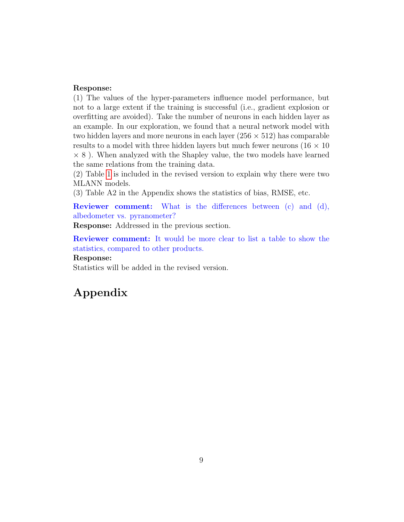#### Response:

(1) The values of the hyper-parameters influence model performance, but not to a large extent if the training is successful (i.e., gradient explosion or overfitting are avoided). Take the number of neurons in each hidden layer as an example. In our exploration, we found that a neural network model with two hidden layers and more neurons in each layer  $(256 \times 512)$  has comparable results to a model with three hidden layers but much fewer neurons ( $16 \times 10$ )  $\times$  8). When analyzed with the Shapley value, the two models have learned the same relations from the training data.

(2) Table [1](#page-2-1) is included in the revised version to explain why there were two MLANN models.

(3) Table A2 in the Appendix shows the statistics of bias, RMSE, etc.

Reviewer comment: What is the differences between (c) and (d), albedometer vs. pyranometer?

Response: Addressed in the previous section.

Reviewer comment: It would be more clear to list a table to show the statistics, compared to other products.

#### Response:

Statistics will be added in the revised version.

# Appendix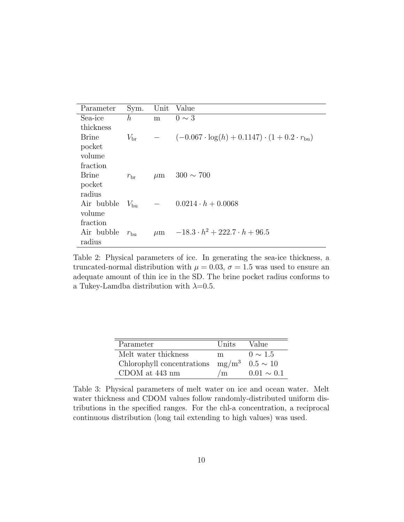| Parameter    | Sym.             | Unit    | Value                                                                 |
|--------------|------------------|---------|-----------------------------------------------------------------------|
| Sea-ice      | $\boldsymbol{h}$ | m       | $0 \sim 3$                                                            |
| thickness    |                  |         |                                                                       |
| <b>Brine</b> | $V_{\rm br}$     |         | $(-0.067 \cdot \log(h) + 0.1147) \cdot (1 + 0.2 \cdot r_{\text{bu}})$ |
| pocket       |                  |         |                                                                       |
| volume       |                  |         |                                                                       |
| fraction     |                  |         |                                                                       |
| Brine        | $r_{\rm br}$     | $\mu$ m | $300 \sim 700$                                                        |
| pocket       |                  |         |                                                                       |
| radius       |                  |         |                                                                       |
| Air bubble   | $V_{\rm bu}$     |         | $0.0214 \cdot h + 0.0068$                                             |
| volume       |                  |         |                                                                       |
| fraction     |                  |         |                                                                       |
| Air bubble   | $r_{\rm bu}$     | $\mu$ m | $-18.3 \cdot h^2 + 222.7 \cdot h + 96.5$                              |
| radius       |                  |         |                                                                       |

<span id="page-9-0"></span>Table 2: Physical parameters of ice. In generating the sea-ice thickness, a truncated-normal distribution with  $\mu = 0.03$ ,  $\sigma = 1.5$  was used to ensure an adequate amount of thin ice in the SD. The brine pocket radius conforms to a Tukey-Lamdba distribution with  $\lambda=0.5$ .

| Parameter                           | Units | Value           |
|-------------------------------------|-------|-----------------|
| Melt water thickness                | m.    | $0 \sim 1.5$    |
| Chlorophyll concentrations $mg/m^3$ |       | $0.5 \sim 10$   |
| CDOM at 443 nm                      | /m    | $0.01 \sim 0.1$ |

Table 3: Physical parameters of melt water on ice and ocean water. Melt water thickness and CDOM values follow randomly-distributed uniform distributions in the specified ranges. For the chl-a concentration, a reciprocal continuous distribution (long tail extending to high values) was used.